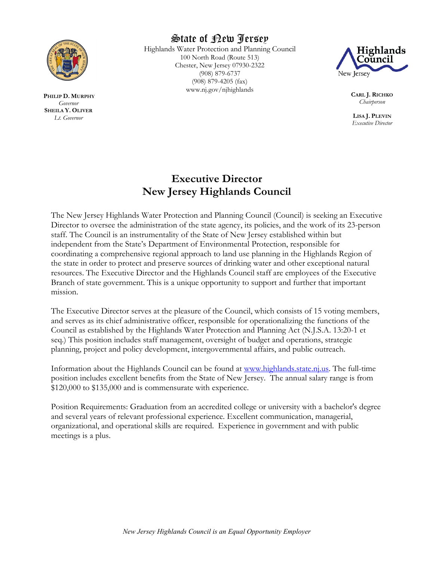

**PHILIP D. MURPHY** *Governor* **SHEILA Y. OLIVER** *Lt. Governor*

# State of New Jersey

Highlands Water Protection and Planning Council 100 North Road (Route 513) Chester, New Jersey 07930-2322 (908) 879-6737 (908) 879-4205 (fax) www.nj.gov/njhighlands



**CARL J. RICHKO** *Chairperson*

**LISA J. PLEVIN** *Executive Director*

## **Executive Director New Jersey Highlands Council**

The New Jersey Highlands Water Protection and Planning Council (Council) is seeking an Executive Director to oversee the administration of the state agency, its policies, and the work of its 23-person staff. The Council is an instrumentality of the State of New Jersey established within but independent from the State's Department of Environmental Protection, responsible for coordinating a comprehensive regional approach to land use planning in the Highlands Region of the state in order to protect and preserve sources of drinking water and other exceptional natural resources. The Executive Director and the Highlands Council staff are employees of the Executive Branch of state government. This is a unique opportunity to support and further that important mission.

The Executive Director serves at the pleasure of the Council, which consists of 15 voting members, and serves as its chief administrative officer, responsible for operationalizing the functions of the Council as established by the Highlands Water Protection and Planning Act (N.J.S.A. 13:20-1 et seq.) This position includes staff management, oversight of budget and operations, strategic planning, project and policy development, intergovernmental affairs, and public outreach.

Information about the Highlands Council can be found at [www.highlands.state.nj.us.](http://www.highlands.state.nj.us/) The full-time position includes excellent benefits from the State of New Jersey. The annual salary range is from \$120,000 to \$135,000 and is commensurate with experience.

Position Requirements: Graduation from an accredited college or university with a bachelor's degree and several years of relevant professional experience. Excellent communication, managerial, organizational, and operational skills are required. Experience in government and with public meetings is a plus.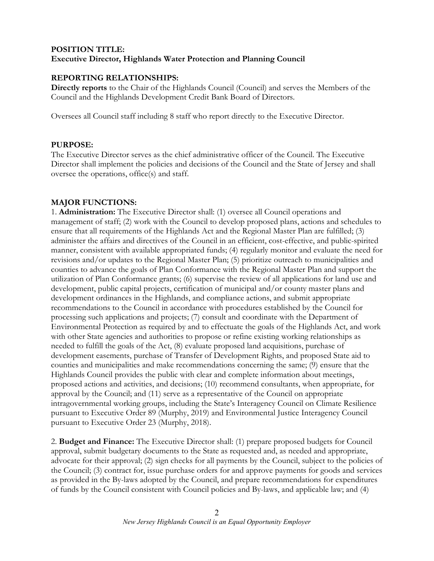## **POSITION TITLE: Executive Director, Highlands Water Protection and Planning Council**

## **REPORTING RELATIONSHIPS:**

**Directly reports** to the Chair of the Highlands Council (Council) and serves the Members of the Council and the Highlands Development Credit Bank Board of Directors.

Oversees all Council staff including 8 staff who report directly to the Executive Director.

#### **PURPOSE:**

The Executive Director serves as the chief administrative officer of the Council. The Executive Director shall implement the policies and decisions of the Council and the State of Jersey and shall oversee the operations, office(s) and staff.

### **MAJOR FUNCTIONS:**

1. **Administration:** The Executive Director shall: (1) oversee all Council operations and management of staff; (2) work with the Council to develop proposed plans, actions and schedules to ensure that all requirements of the Highlands Act and the Regional Master Plan are fulfilled; (3) administer the affairs and directives of the Council in an efficient, cost-effective, and public-spirited manner, consistent with available appropriated funds; (4) regularly monitor and evaluate the need for revisions and/or updates to the Regional Master Plan; (5) prioritize outreach to municipalities and counties to advance the goals of Plan Conformance with the Regional Master Plan and support the utilization of Plan Conformance grants; (6) supervise the review of all applications for land use and development, public capital projects, certification of municipal and/or county master plans and development ordinances in the Highlands, and compliance actions, and submit appropriate recommendations to the Council in accordance with procedures established by the Council for processing such applications and projects; (7) consult and coordinate with the Department of Environmental Protection as required by and to effectuate the goals of the Highlands Act, and work with other State agencies and authorities to propose or refine existing working relationships as needed to fulfill the goals of the Act, (8) evaluate proposed land acquisitions, purchase of development easements, purchase of Transfer of Development Rights, and proposed State aid to counties and municipalities and make recommendations concerning the same; (9) ensure that the Highlands Council provides the public with clear and complete information about meetings, proposed actions and activities, and decisions; (10) recommend consultants, when appropriate, for approval by the Council; and (11) serve as a representative of the Council on appropriate intragovernmental working groups, including the State's Interagency Council on Climate Resilience pursuant to Executive Order 89 (Murphy, 2019) and Environmental Justice Interagency Council pursuant to Executive Order 23 (Murphy, 2018).

2. **Budget and Finance:** The Executive Director shall: (1) prepare proposed budgets for Council approval, submit budgetary documents to the State as requested and, as needed and appropriate, advocate for their approval; (2) sign checks for all payments by the Council, subject to the policies of the Council; (3) contract for, issue purchase orders for and approve payments for goods and services as provided in the By-laws adopted by the Council, and prepare recommendations for expenditures of funds by the Council consistent with Council policies and By-laws, and applicable law; and (4)